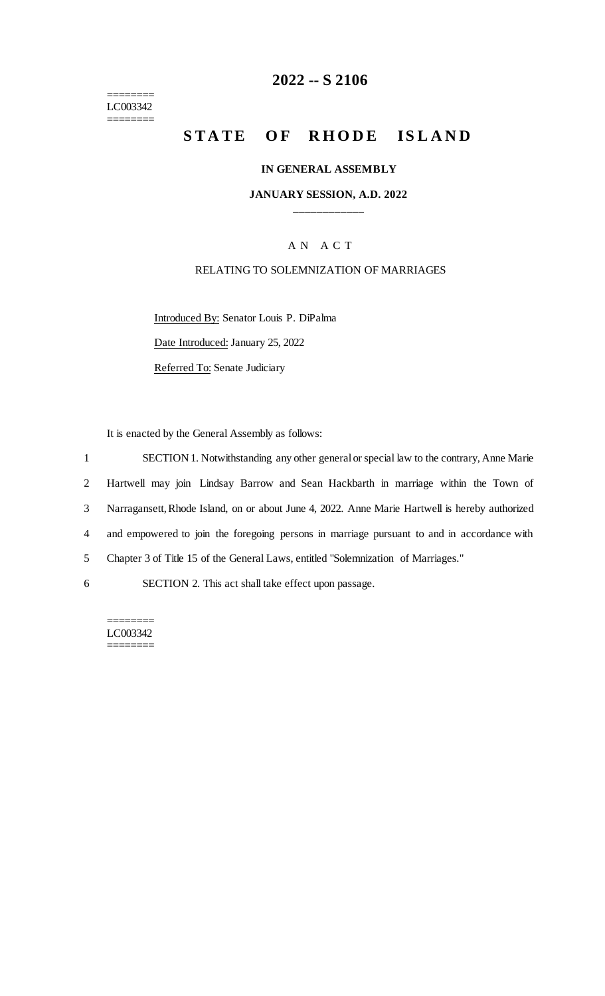======== LC003342 ========

## **2022 -- S 2106**

# **STATE OF RHODE ISLAND**

#### **IN GENERAL ASSEMBLY**

#### **JANUARY SESSION, A.D. 2022 \_\_\_\_\_\_\_\_\_\_\_\_**

### A N A C T

#### RELATING TO SOLEMNIZATION OF MARRIAGES

Introduced By: Senator Louis P. DiPalma Date Introduced: January 25, 2022 Referred To: Senate Judiciary

It is enacted by the General Assembly as follows:

 SECTION 1. Notwithstanding any other general or special law to the contrary, Anne Marie Hartwell may join Lindsay Barrow and Sean Hackbarth in marriage within the Town of Narragansett, Rhode Island, on or about June 4, 2022. Anne Marie Hartwell is hereby authorized and empowered to join the foregoing persons in marriage pursuant to and in accordance with Chapter 3 of Title 15 of the General Laws, entitled "Solemnization of Marriages." SECTION 2. This act shall take effect upon passage.

======== LC003342 ========